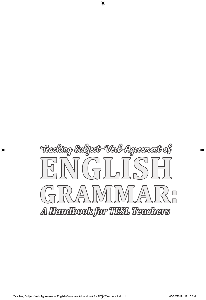

 $\bigoplus$ 

 $\bigoplus$ 

⊕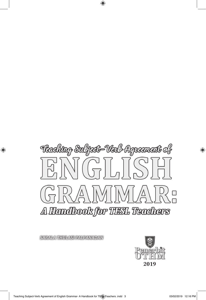

 $\bigoplus$ 

**SARALA THULASI PALPANADAN** 

 $\bigoplus$ 



⊕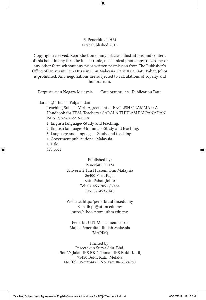## © Penerbit UTHM First Published 2019

⊕

Copyright reserved. Reproduction of any articles, illustrations and content of this book in any form be it electronic, mechanical photocopy, recording or any other form without any prior written permission from The Publisher's Office of Universiti Tun Hussein Onn Malaysia, Parit Raja, Batu Pahat, Johor is prohibited. Any negotiations are subjected to calculations of royalty and honorarium.

Perpustakaan Negara Malaysia Cataloguing—in—Publication Data

Sarala @ Thulasi Palpanadan

Teaching Subject-Verb Agreement of ENGLISH GRAMMAR: A Handbook for TESL Teachers / SARALA THULASI PALPANADAN. ISBN 978-967-2216-85-8 1. English language--Study and teaching.

2. English language--Grammar--Study and teaching.

3. Language and languages--Study and teaching.

4. Goverment publications--Malaysia.

I. Title.

⊕

428.0071

Published by: Penerbit UTHM Universiti Tun Hussein Onn Malaysia 86400 Parit Raja, Batu Pahat, Johor Tel: 07-453 7051 / 7454 Fax: 07-453 6145

Website: http://penerbit.uthm.edu.my E-mail: pt@uthm.edu.my http://e-bookstore.uthm.edu.my

Penerbit UTHM is a member of Majlis Penerbitan Ilmiah Malaysia (MAPIM)

Printed by: Percetakan Surya Sdn. Bhd. Plot 29, Jalan IKS BK 2, Taman IKS Bukit Katil, 75450 Bukit Katil, Melaka No. Tel: 06-2324475 No. Fax: 06-2324960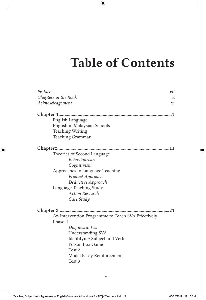## Table of Contents

 $\bigoplus$ 

| Preface                                            | vii |
|----------------------------------------------------|-----|
| Chapters in the Book                               | ix  |
| Acknowledgement                                    | хi  |
|                                                    |     |
| English Language                                   |     |
| English in Malaysian Schools                       |     |
| <b>Teaching Writing</b>                            |     |
| <b>Teaching Grammar</b>                            |     |
| Chapter2                                           |     |
| Theories of Second Language                        |     |
| Behaviourism                                       |     |
| Cognitivism                                        |     |
| Approaches to Language Teaching                    |     |
| Product Approach                                   |     |
| Deductive Approach                                 |     |
| Language Teaching Study                            |     |
| <b>Action Research</b>                             |     |
| Case Study                                         |     |
|                                                    | .21 |
| An Intervention Programme to Teach SVA Effectively |     |
| Phase 1                                            |     |
| Diagnostic Test                                    |     |
| <b>Understanding SVA</b>                           |     |
| Identifying Subject and Verb                       |     |
| Poison Box Game                                    |     |
| Test 2                                             |     |
| Model Essay Reinforcement                          |     |
| Test 3                                             |     |

 $\bigoplus$ 

 $\bigoplus$